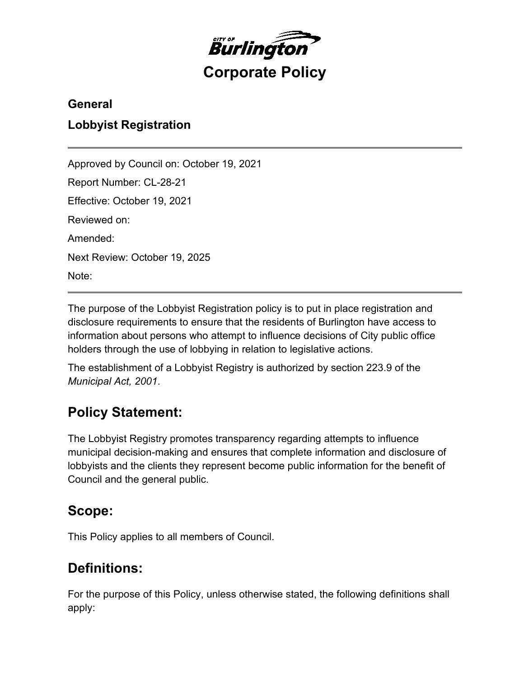

### **General**

### **Lobbyist Registration**

Approved by Council on: October 19, 2021 Report Number: CL-28-21 Effective: October 19, 2021 Reviewed on: Amended: Next Review: October 19, 2025 Note:

The purpose of the Lobbyist Registration policy is to put in place registration and disclosure requirements to ensure that the residents of Burlington have access to information about persons who attempt to influence decisions of City public office holders through the use of lobbying in relation to legislative actions.

The establishment of a Lobbyist Registry is authorized by section 223.9 of the *Municipal Act, 2001*.

## **Policy Statement:**

The Lobbyist Registry promotes transparency regarding attempts to influence municipal decision-making and ensures that complete information and disclosure of lobbyists and the clients they represent become public information for the benefit of Council and the general public.

## **Scope:**

This Policy applies to all members of Council.

## **Definitions:**

For the purpose of this Policy, unless otherwise stated, the following definitions shall apply: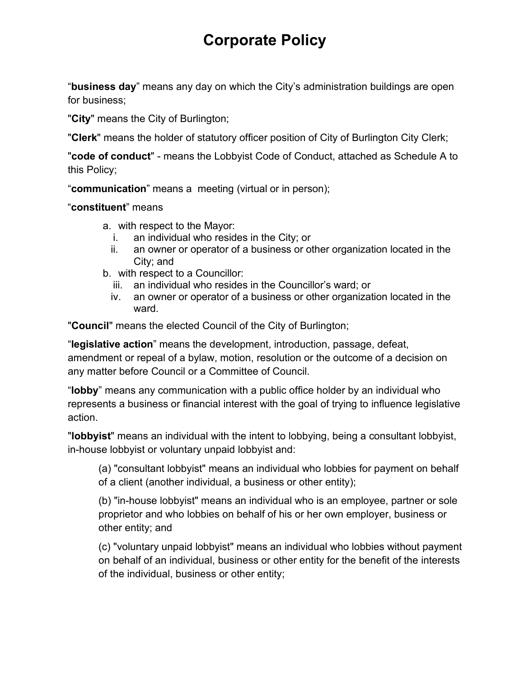"**business day**" means any day on which the City's administration buildings are open for business;

"**City**" means the City of Burlington;

"**Clerk**" means the holder of statutory officer position of City of Burlington City Clerk;

"**code of conduct**" - means the Lobbyist Code of Conduct, attached as Schedule A to this Policy;

"**communication**" means a meeting (virtual or in person);

#### "**constituent**" means

- a. with respect to the Mayor:
	- i. an individual who resides in the City; or
	- ii. an owner or operator of a business or other organization located in the City; and
- b. with respect to a Councillor:
	- iii. an individual who resides in the Councillor's ward; or
	- iv. an owner or operator of a business or other organization located in the ward.

"**Council**" means the elected Council of the City of Burlington;

"**legislative action**" means the development, introduction, passage, defeat, amendment or repeal of a bylaw, motion, resolution or the outcome of a decision on any matter before Council or a Committee of Council.

"**lobby**" means any communication with a public office holder by an individual who represents a business or financial interest with the goal of trying to influence legislative action.

"**lobbyist**" means an individual with the intent to lobbying, being a consultant lobbyist, in-house lobbyist or voluntary unpaid lobbyist and:

(a) "consultant lobbyist" means an individual who lobbies for payment on behalf of a client (another individual, a business or other entity);

(b) "in-house lobbyist" means an individual who is an employee, partner or sole proprietor and who lobbies on behalf of his or her own employer, business or other entity; and

(c) "voluntary unpaid lobbyist" means an individual who lobbies without payment on behalf of an individual, business or other entity for the benefit of the interests of the individual, business or other entity;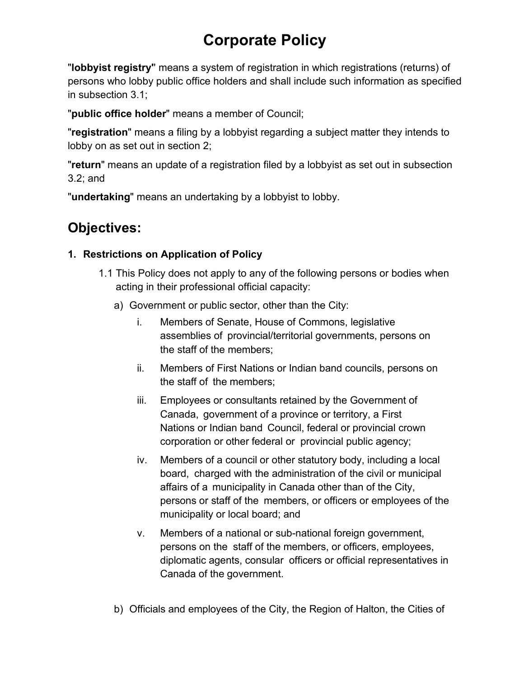"**lobbyist registry'**' means a system of registration in which registrations (returns) of persons who lobby public office holders and shall include such information as specified in subsection 3.1;

"**public office holder**" means a member of Council;

"**registration**" means a filing by a lobbyist regarding a subject matter they intends to lobby on as set out in section 2;

"**return**" means an update of a registration filed by a lobbyist as set out in subsection 3.2; and

"**undertaking**" means an undertaking by a lobbyist to lobby.

## **Objectives:**

### **1. Restrictions on Application of Policy**

- 1.1 This Policy does not apply to any of the following persons or bodies when acting in their professional official capacity:
	- a) Government or public sector, other than the City:
		- i. Members of Senate, House of Commons, legislative assemblies of provincial/territorial governments, persons on the staff of the members;
		- ii. Members of First Nations or Indian band councils, persons on the staff of the members;
		- iii. Employees or consultants retained by the Government of Canada, government of a province or territory, a First Nations or Indian band Council, federal or provincial crown corporation or other federal or provincial public agency;
		- iv. Members of a council or other statutory body, including a local board, charged with the administration of the civil or municipal affairs of a municipality in Canada other than of the City, persons or staff of the members, or officers or employees of the municipality or local board; and
		- v. Members of a national or sub-national foreign government, persons on the staff of the members, or officers, employees, diplomatic agents, consular officers or official representatives in Canada of the government.
	- b) Officials and employees of the City, the Region of Halton, the Cities of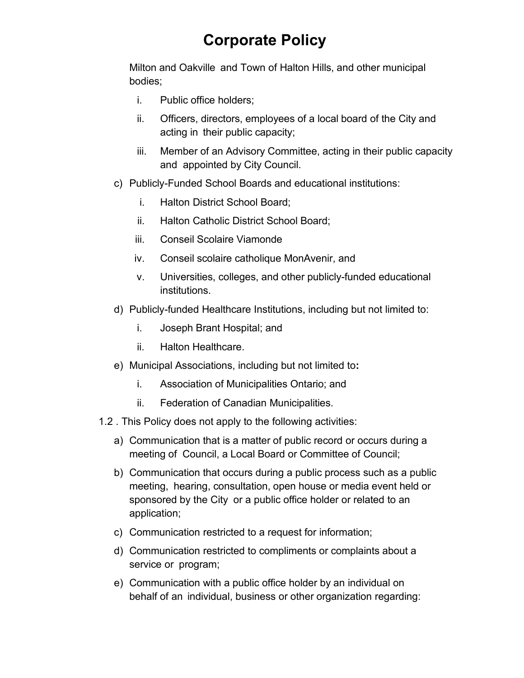Milton and Oakville and Town of Halton Hills, and other municipal bodies;

- i. Public office holders;
- ii. Officers, directors, employees of a local board of the City and acting in their public capacity;
- iii. Member of an Advisory Committee, acting in their public capacity and appointed by City Council.
- c) Publicly-Funded School Boards and educational institutions:
	- i. Halton District School Board;
	- ii. Halton Catholic District School Board;
	- iii. Conseil Scolaire Viamonde
	- iv. Conseil scolaire catholique MonAvenir, and
	- v. Universities, colleges, and other publicly-funded educational institutions.
- d) Publicly-funded Healthcare Institutions, including but not limited to:
	- i. Joseph Brant Hospital; and
	- ii. Halton Healthcare.
- e) Municipal Associations, including but not limited to**:**
	- i. Association of Municipalities Ontario; and
	- ii. Federation of Canadian Municipalities.
- 1.2 . This Policy does not apply to the following activities:
	- a) Communication that is a matter of public record or occurs during a meeting of Council, a Local Board or Committee of Council;
	- b) Communication that occurs during a public process such as a public meeting, hearing, consultation, open house or media event held or sponsored by the City or a public office holder or related to an application;
	- c) Communication restricted to a request for information;
	- d) Communication restricted to compliments or complaints about a service or program;
	- e) Communication with a public office holder by an individual on behalf of an individual, business or other organization regarding: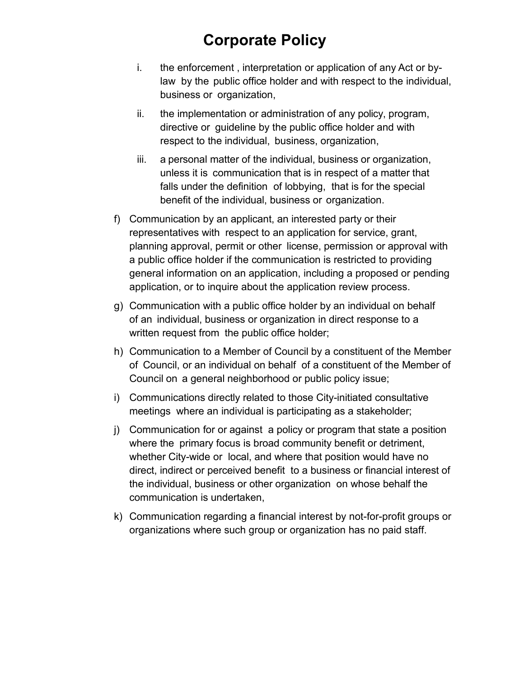- i. the enforcement , interpretation or application of any Act or bylaw by the public office holder and with respect to the individual, business or organization,
- ii. the implementation or administration of any policy, program, directive or guideline by the public office holder and with respect to the individual, business, organization,
- iii. a personal matter of the individual, business or organization, unless it is communication that is in respect of a matter that falls under the definition of lobbying, that is for the special benefit of the individual, business or organization.
- f) Communication by an applicant, an interested party or their representatives with respect to an application for service, grant, planning approval, permit or other license, permission or approval with a public office holder if the communication is restricted to providing general information on an application, including a proposed or pending application, or to inquire about the application review process.
- g) Communication with a public office holder by an individual on behalf of an individual, business or organization in direct response to a written request from the public office holder;
- h) Communication to a Member of Council by a constituent of the Member of Council, or an individual on behalf of a constituent of the Member of Council on a general neighborhood or public policy issue;
- i) Communications directly related to those City-initiated consultative meetings where an individual is participating as a stakeholder;
- j) Communication for or against a policy or program that state a position where the primary focus is broad community benefit or detriment, whether City-wide or local, and where that position would have no direct, indirect or perceived benefit to a business or financial interest of the individual, business or other organization on whose behalf the communication is undertaken,
- k) Communication regarding a financial interest by not-for-profit groups or organizations where such group or organization has no paid staff.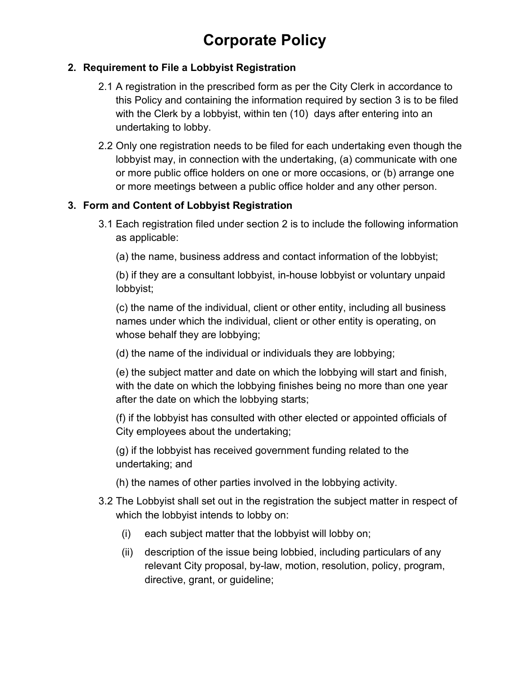#### **2. Requirement to File a Lobbyist Registration**

- 2.1 A registration in the prescribed form as per the City Clerk in accordance to this Policy and containing the information required by section 3 is to be filed with the Clerk by a lobbyist, within ten (10) days after entering into an undertaking to lobby.
- 2.2 Only one registration needs to be filed for each undertaking even though the lobbyist may, in connection with the undertaking, (a) communicate with one or more public office holders on one or more occasions, or (b) arrange one or more meetings between a public office holder and any other person.

#### **3. Form and Content of Lobbyist Registration**

- 3.1 Each registration filed under section 2 is to include the following information as applicable:
	- (a) the name, business address and contact information of the lobbyist;

(b) if they are a consultant lobbyist, in-house lobbyist or voluntary unpaid lobbyist;

(c) the name of the individual, client or other entity, including all business names under which the individual, client or other entity is operating, on whose behalf they are lobbying;

(d) the name of the individual or individuals they are lobbying;

(e) the subject matter and date on which the lobbying will start and finish, with the date on which the lobbying finishes being no more than one year after the date on which the lobbying starts;

(f) if the lobbyist has consulted with other elected or appointed officials of City employees about the undertaking;

(g) if the lobbyist has received government funding related to the undertaking; and

- (h) the names of other parties involved in the lobbying activity.
- 3.2 The Lobbyist shall set out in the registration the subject matter in respect of which the lobbyist intends to lobby on:
	- (i) each subject matter that the lobbyist will lobby on;
	- (ii) description of the issue being lobbied, including particulars of any relevant City proposal, by-law, motion, resolution, policy, program, directive, grant, or guideline;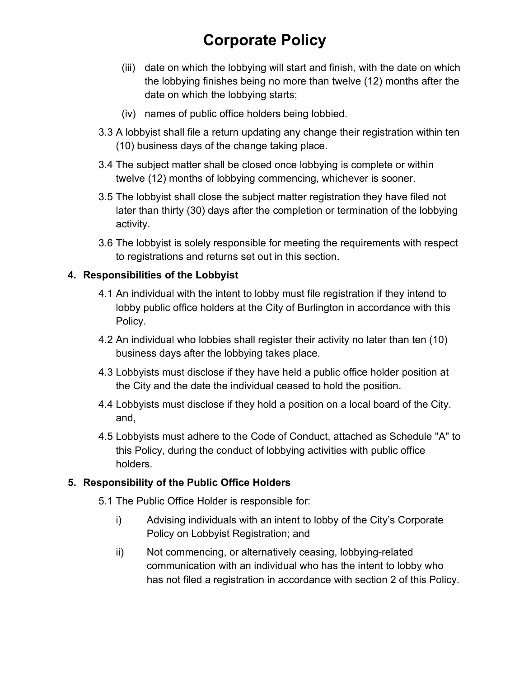- (iii) date on which the lobbying will start and finish, with the date on which the lobbying finishes being no more than twelve (12) months after the date on which the lobbying starts;
- (iv) names of public office holders being lobbied.
- 3.3 A lobbyist shall file a return updating any change their registration within ten (10) business days of the change taking place.
- 3.4 The subject matter shall be closed once lobbying is complete or within twelve (12) months of lobbying commencing, whichever is sooner.
- 3.5 The lobbyist shall close the subject matter registration they have filed not later than thirty (30) days after the completion or termination of the lobbying activity.
- 3.6 The lobbyist is solely responsible for meeting the requirements with respect to registrations and returns set out in this section.

#### **4. Responsibilities of the Lobbyist**

- 4.1 An individual with the intent to lobby must file registration if they intend to lobby public office holders at the City of Burlington in accordance with this Policy.
- 4.2 An individual who lobbies shall register their activity no later than ten (10) business days after the lobbying takes place.
- 4.3 Lobbyists must disclose if they have held a public office holder position at the City and the date the individual ceased to hold the position.
- 4.4 Lobbyists must disclose if they hold a position on a local board of the City. and,
- 4.5 Lobbyists must adhere to the Code of Conduct, attached as Schedule "A" to this Policy, during the conduct of lobbying activities with public office holders.

#### **5. Responsibility of the Public Office Holders**

- 5.1 The Public Office Holder is responsible for:
	- i) Advising individuals with an intent to lobby of the City's Corporate Policy on Lobbyist Registration; and
	- ii) Not commencing, or alternatively ceasing, lobbying-related communication with an individual who has the intent to lobby who has not filed a registration in accordance with section 2 of this Policy.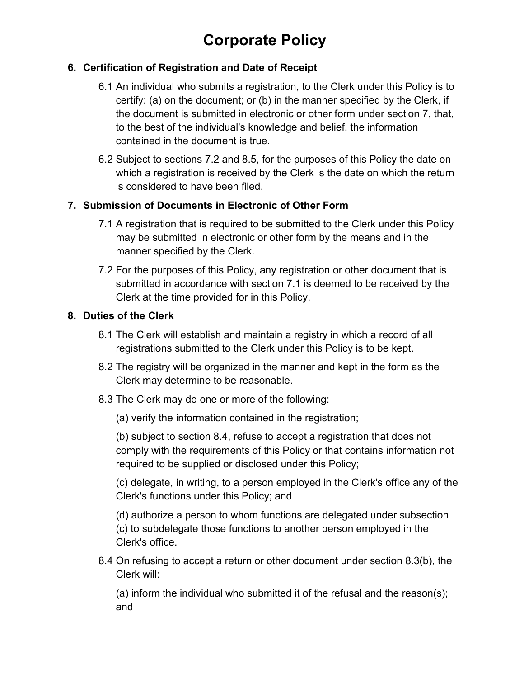#### **6. Certification of Registration and Date of Receipt**

- 6.1 An individual who submits a registration, to the Clerk under this Policy is to certify: (a) on the document; or (b) in the manner specified by the Clerk, if the document is submitted in electronic or other form under section 7, that, to the best of the individual's knowledge and belief, the information contained in the document is true.
- 6.2 Subject to sections 7.2 and 8.5, for the purposes of this Policy the date on which a registration is received by the Clerk is the date on which the return is considered to have been filed.

#### **7. Submission of Documents in Electronic of Other Form**

- 7.1 A registration that is required to be submitted to the Clerk under this Policy may be submitted in electronic or other form by the means and in the manner specified by the Clerk.
- 7.2 For the purposes of this Policy, any registration or other document that is submitted in accordance with section 7.1 is deemed to be received by the Clerk at the time provided for in this Policy.

#### **8. Duties of the Clerk**

- 8.1 The Clerk will establish and maintain a registry in which a record of all registrations submitted to the Clerk under this Policy is to be kept.
- 8.2 The registry will be organized in the manner and kept in the form as the Clerk may determine to be reasonable.
- 8.3 The Clerk may do one or more of the following:
	- (a) verify the information contained in the registration;

(b) subject to section 8.4, refuse to accept a registration that does not comply with the requirements of this Policy or that contains information not required to be supplied or disclosed under this Policy;

(c) delegate, in writing, to a person employed in the Clerk's office any of the Clerk's functions under this Policy; and

(d) authorize a person to whom functions are delegated under subsection (c) to subdelegate those functions to another person employed in the Clerk's office.

8.4 On refusing to accept a return or other document under section 8.3(b), the Clerk will:

(a) inform the individual who submitted it of the refusal and the reason(s); and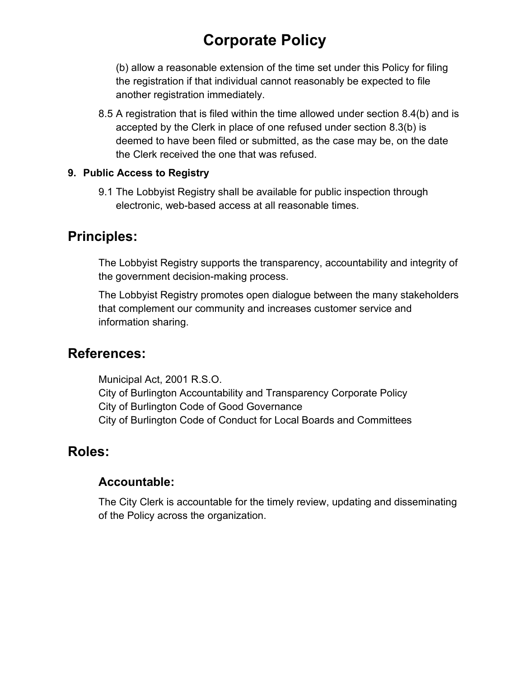(b) allow a reasonable extension of the time set under this Policy for filing the registration if that individual cannot reasonably be expected to file another registration immediately.

8.5 A registration that is filed within the time allowed under section 8.4(b) and is accepted by the Clerk in place of one refused under section 8.3(b) is deemed to have been filed or submitted, as the case may be, on the date the Clerk received the one that was refused.

#### **9. Public Access to Registry**

9.1 The Lobbyist Registry shall be available for public inspection through electronic, web-based access at all reasonable times.

### **Principles:**

The Lobbyist Registry supports the transparency, accountability and integrity of the government decision-making process.

The Lobbyist Registry promotes open dialogue between the many stakeholders that complement our community and increases customer service and information sharing.

### **References:**

Municipal Act, 2001 R.S.O. City of Burlington Accountability and Transparency Corporate Policy City of Burlington Code of Good Governance City of Burlington Code of Conduct for Local Boards and Committees

### **Roles:**

### **Accountable:**

The City Clerk is accountable for the timely review, updating and disseminating of the Policy across the organization.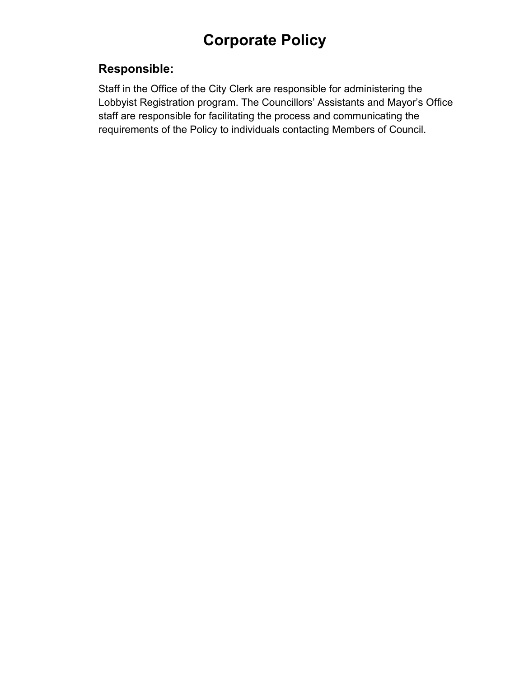### **Responsible:**

Staff in the Office of the City Clerk are responsible for administering the Lobbyist Registration program. The Councillors' Assistants and Mayor's Office staff are responsible for facilitating the process and communicating the requirements of the Policy to individuals contacting Members of Council.